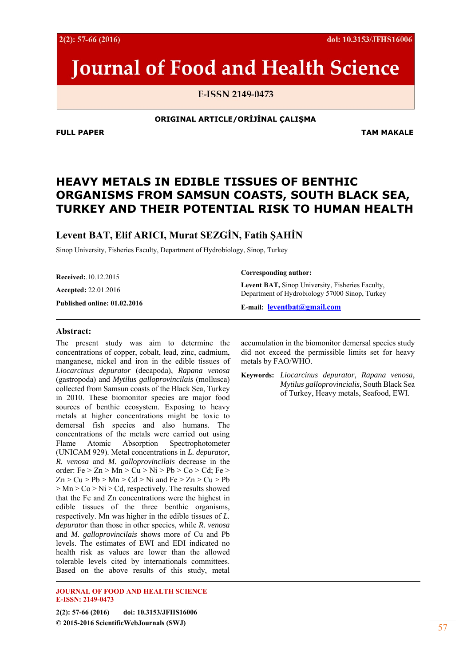doi: 10.3153/JFHS16006

# **Journal of Food and Health Science**

E-ISSN 2149-0473

**ORIGINAL ARTICLE/ORİJİNAL ÇALIŞMA** 

**FULL PAPER TAM MAKALE** 

# **HEAVY METALS IN EDIBLE TISSUES OF BENTHIC ORGANISMS FROM SAMSUN COASTS, SOUTH BLACK SEA, TURKEY AND THEIR POTENTIAL RISK TO HUMAN HEALTH**

# **Levent BAT, Elif ARICI, Murat SEZGİN, Fatih ŞAHİN**

Sinop University, Fisheries Faculty, Department of Hydrobiology, Sinop, Turkey

**Received:**.10.12.2015

**Accepted:** 22.01.2016

**Published online: 01.02.2016** 

#### **Corresponding author:**

**Levent BAT,** Sinop University, Fisheries Faculty, Department of Hydrobiology 57000 Sinop, Turkey

**E-mail: leventbat@gmail.com**

#### **Abstract:**

The present study was aim to determine the concentrations of copper, cobalt, lead, zinc, cadmium, manganese, nickel and iron in the edible tissues of *Liocarcinus depurator* (decapoda), *Rapana venosa* (gastropoda) and *Mytilus galloprovincilais* (mollusca) collected from Samsun coasts of the Black Sea, Turkey in 2010. These biomonitor species are major food sources of benthic ecosystem. Exposing to heavy metals at higher concentrations might be toxic to demersal fish species and also humans. The concentrations of the metals were carried out using Flame Atomic Absorption Spectrophotometer (UNICAM 929). Metal concentrations in *L. depurator*, *R. venosa* and *M. galloprovincilais* decrease in the order: Fe  $> Zn$   $> Mn$   $> Cu$   $> Ni$   $> Pb$   $> Co$   $> Cd$ ; Fe  $>$  $Zn > Cu > Pb > Mn > Cd > Ni$  and  $Fe > Zn > Cu > Pb$  $> Mn > Co > Ni > Cd$ , respectively. The results showed that the Fe and Zn concentrations were the highest in edible tissues of the three benthic organisms, respectively. Mn was higher in the edible tissues of *L. depurator* than those in other species, while *R. venosa* and *M. galloprovincilais* shows more of Cu and Pb levels. The estimates of EWI and EDI indicated no health risk as values are lower than the allowed tolerable levels cited by internationals committees. Based on the above results of this study, metal

**JOURNAL OF FOOD AND HEALTH SCIENCE E-ISSN: 2149-0473** 

**2(2): 57-66 (2016) doi: 10.3153/JFHS16006 © 2015-2016 ScientificWebJournals (SWJ)** 57

accumulation in the biomonitor demersal species study did not exceed the permissible limits set for heavy metals by FAO/WHO.

**Keywords:** *Liocarcinus depurator*, *Rapana venosa*, *Mytilus galloprovincialis*, South Black Sea of Turkey, Heavy metals, Seafood, EWI.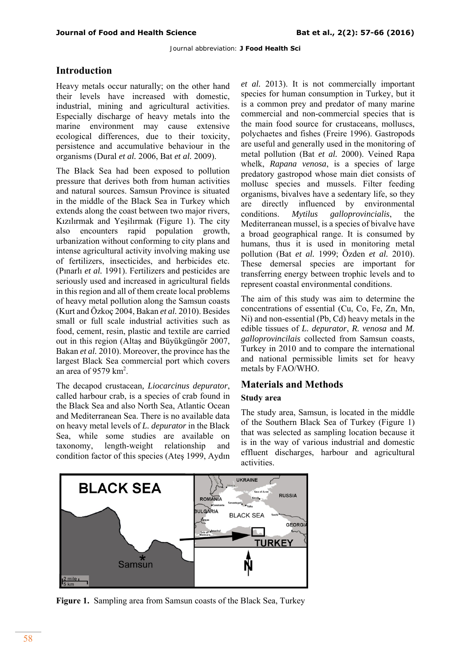# **Introduction**

Heavy metals occur naturally; on the other hand their levels have increased with domestic, industrial, mining and agricultural activities. Especially discharge of heavy metals into the marine environment may cause extensive ecological differences, due to their toxicity, persistence and accumulative behaviour in the organisms (Dural *et al.* 2006, Bat *et al.* 2009).

The Black Sea had been exposed to pollution pressure that derives both from human activities and natural sources. Samsun Province is situated in the middle of the Black Sea in Turkey which extends along the coast between two major rivers, Kızılırmak and Yeşilırmak (Figure 1). The city also encounters rapid population growth, urbanization without conforming to city plans and intense agricultural activity involving making use of fertilizers, insecticides, and herbicides etc. (Pınarlı *et al.* 1991). Fertilizers and pesticides are seriously used and increased in agricultural fields in this region and all of them create local problems of heavy metal pollution along the Samsun coasts (Kurt and Özkoç 2004, Bakan *et al.* 2010). Besides small or full scale industrial activities such as food, cement, resin, plastic and textile are carried out in this region (Altaş and Büyükgüngör 2007, Bakan *et al.* 2010). Moreover, the province has the largest Black Sea commercial port which covers an area of  $9579 \text{ km}^2$ .

The decapod crustacean*, Liocarcinus depurator*, called harbour crab, is a species of crab found in the Black Sea and also North Sea, Atlantic Ocean and Mediterranean Sea. There is no available data on heavy metal levels of *L. depurator* in the Black Sea, while some studies are available on taxonomy, length-weight relationship and condition factor of this species (Ateş 1999, Aydın

*et al.* 2013). It is not commercially important species for human consumption in Turkey, but it is a common prey and predator of many marine commercial and non-commercial species that is the main food source for crustaceans, molluscs, polychaetes and fishes (Freire 1996). Gastropods are useful and generally used in the monitoring of metal pollution (Bat *et al.* 2000). Veined Rapa whelk, *Rapana venosa*, is a species of large predatory gastropod whose main diet consists of mollusc species and mussels. Filter feeding organisms, bivalves have a sedentary life, so they are directly influenced by environmental conditions. *Mytilus galloprovincialis*, the Mediterranean mussel, is a species of bivalve have a broad geographical range. It is consumed by humans, thus it is used in monitoring metal pollution (Bat *et al.* 1999; Özden *et al.* 2010). These demersal species are important for transferring energy between trophic levels and to represent coastal environmental conditions.

The aim of this study was aim to determine the concentrations of essential (Cu, Co, Fe, Zn, Mn, Ni) and non-essential (Pb, Cd) heavy metals in the edible tissues of *L. depurator*, *R. venosa* and *M. galloprovincilais* collected from Samsun coasts, Turkey in 2010 and to compare the international and national permissible limits set for heavy metals by FAO/WHO.

# **Materials and Methods**

#### **Study area**

The study area, Samsun, is located in the middle of the Southern Black Sea of Turkey (Figure 1) that was selected as sampling location because it is in the way of various industrial and domestic effluent discharges, harbour and agricultural activities.



**Figure 1.** Sampling area from Samsun coasts of the Black Sea, Turkey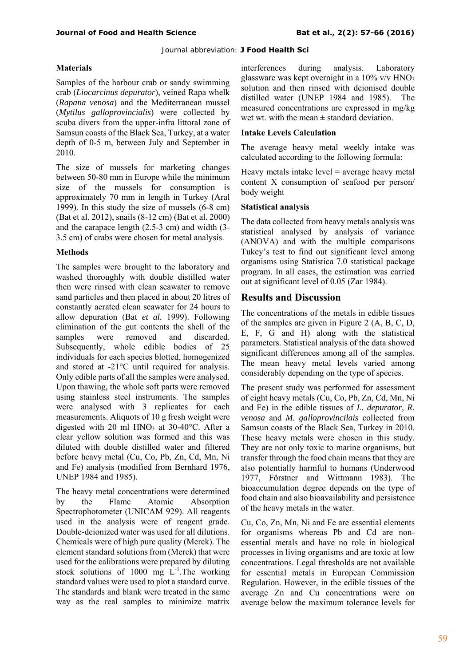#### **Materials**

Samples of the harbour crab or sandy swimming crab (*Liocarcinus depurator*), veined Rapa whelk (*Rapana venosa*) and the Mediterranean mussel (*Mytilus galloprovincialis*) were collected by scuba divers from the upper-infra littoral zone of Samsun coasts of the Black Sea, Turkey, at a water depth of 0-5 m, between July and September in 2010.

The size of mussels for marketing changes between 50-80 mm in Europe while the minimum size of the mussels for consumption is approximately 70 mm in length in Turkey (Aral 1999). In this study the size of mussels (6-8 cm) (Bat et al. 2012), snails (8-12 cm) (Bat et al. 2000) and the carapace length (2.5-3 cm) and width (3- 3.5 cm) of crabs were chosen for metal analysis.

#### **Methods**

The samples were brought to the laboratory and washed thoroughly with double distilled water then were rinsed with clean seawater to remove sand particles and then placed in about 20 litres of constantly aerated clean seawater for 24 hours to allow depuration (Bat *et al*. 1999). Following elimination of the gut contents the shell of the samples were removed and discarded. Subsequently, whole edible bodies of 25 individuals for each species blotted, homogenized and stored at -21°C until required for analysis. Only edible parts of all the samples were analysed. Upon thawing, the whole soft parts were removed using stainless steel instruments. The samples were analysed with 3 replicates for each measurements. Aliquots of 10 g fresh weight were digested with 20 ml  $HNO<sub>3</sub>$  at 30-40 $^{\circ}$ C. After a clear yellow solution was formed and this was diluted with double distilled water and filtered before heavy metal (Cu, Co, Pb, Zn, Cd, Mn, Ni and Fe) analysis (modified from Bernhard 1976, UNEP 1984 and 1985).

The heavy metal concentrations were determined by the Flame Atomic Absorption Spectrophotometer (UNICAM 929). All reagents used in the analysis were of reagent grade. Double-deionized water was used for all dilutions. Chemicals were of high pure quality (Merck). The element standard solutions from (Merck) that were used for the calibrations were prepared by diluting stock solutions of 1000 mg  $L^{-1}$ . The working standard values were used to plot a standard curve. The standards and blank were treated in the same way as the real samples to minimize matrix

interferences during analysis. Laboratory glassware was kept overnight in a  $10\%$  v/v HNO<sub>3</sub> solution and then rinsed with deionised double distilled water (UNEP 1984 and 1985). The measured concentrations are expressed in mg/kg wet wt. with the mean  $\pm$  standard deviation.

#### **Intake Levels Calculation**

The average heavy metal weekly intake was calculated according to the following formula:

Heavy metals intake level  $=$  average heavy metal content X consumption of seafood per person/ body weight

#### **Statistical analysis**

The data collected from heavy metals analysis was statistical analysed by analysis of variance (ANOVA) and with the multiple comparisons Tukey's test to find out significant level among organisms using Statistica 7.0 statistical package program. In all cases, the estimation was carried out at significant level of 0.05 (Zar 1984).

## **Results and Discussion**

The concentrations of the metals in edible tissues of the samples are given in Figure 2 (A, B, C, D, E, F, G and H) along with the statistical parameters. Statistical analysis of the data showed significant differences among all of the samples. The mean heavy metal levels varied among considerably depending on the type of species.

The present study was performed for assessment of eight heavy metals (Cu, Co, Pb, Zn, Cd, Mn, Ni and Fe) in the edible tissues of *L. depurator, R. venosa* and *M. galloprovincilais* collected from Samsun coasts of the Black Sea, Turkey in 2010. These heavy metals were chosen in this study. They are not only toxic to marine organisms, but transfer through the food chain means that they are also potentially harmful to humans (Underwood 1977, Förstner and Wittmann 1983). The bioaccumulation degree depends on the type of food chain and also bioavailability and persistence of the heavy metals in the water.

Cu, Co, Zn, Mn, Ni and Fe are essential elements for organisms whereas Pb and Cd are nonessential metals and have no role in biological processes in living organisms and are toxic at low concentrations. Legal thresholds are not available for essential metals in European Commission Regulation. However, in the edible tissues of the average Zn and Cu concentrations were on average below the maximum tolerance levels for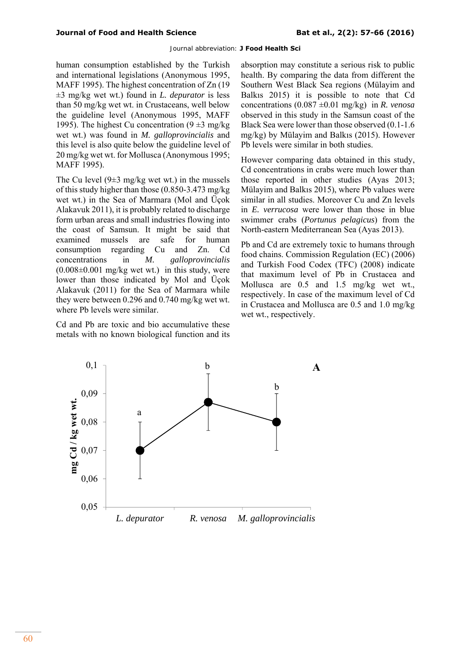human consumption established by the Turkish and international legislations (Anonymous 1995, MAFF 1995). The highest concentration of Zn (19 ±3 mg/kg wet wt.) found in *L. depurator* is less than 50 mg/kg wet wt. in Crustaceans, well below the guideline level (Anonymous 1995, MAFF 1995). The highest Cu concentration  $(9 \pm 3 \text{ mg/kg})$ wet wt.) was found in *M. galloprovincialis* and this level is also quite below the guideline level of 20 mg/kg wet wt. for Mollusca (Anonymous 1995; MAFF 1995).

The Cu level  $(9\pm 3 \text{ mg/kg} \text{ wet wt.})$  in the mussels of this study higher than those (0.850-3.473 mg/kg wet wt.) in the Sea of Marmara (Mol and Üçok Alakavuk 2011), it is probably related to discharge form urban areas and small industries flowing into the coast of Samsun. It might be said that examined mussels are safe for human consumption regarding Cu and Zn. Cd concentrations in *M. galloprovincialis*  $(0.008\pm0.001 \text{ mg/kg}$  wet wt.) in this study, were lower than those indicated by Mol and Üçok Alakavuk (2011) for the Sea of Marmara while they were between 0.296 and 0.740 mg/kg wet wt. where Pb levels were similar.

Cd and Pb are toxic and bio accumulative these metals with no known biological function and its

absorption may constitute a serious risk to public health. By comparing the data from different the Southern West Black Sea regions (Mülayim and Balkıs 2015) it is possible to note that Cd concentrations (0.087 ±0.01 mg/kg) in *R. venosa* observed in this study in the Samsun coast of the Black Sea were lower than those observed (0.1-1.6 mg/kg) by Mülayim and Balkıs (2015). However Pb levels were similar in both studies.

However comparing data obtained in this study, Cd concentrations in crabs were much lower than those reported in other studies (Ayas 2013; Mülayim and Balkıs 2015), where Pb values were similar in all studies. Moreover Cu and Zn levels in *E. verrucosa* were lower than those in blue swimmer crabs (*Portunus pelagicus*) from the North-eastern Mediterranean Sea (Ayas 2013).

Pb and Cd are extremely toxic to humans through food chains. Commission Regulation (EC) (2006) and Turkish Food Codex (TFC) (2008) indicate that maximum level of Pb in Crustacea and Mollusca are 0.5 and 1.5 mg/kg wet wt., respectively. In case of the maximum level of Cd in Crustacea and Mollusca are 0.5 and 1.0 mg/kg wet wt., respectively.

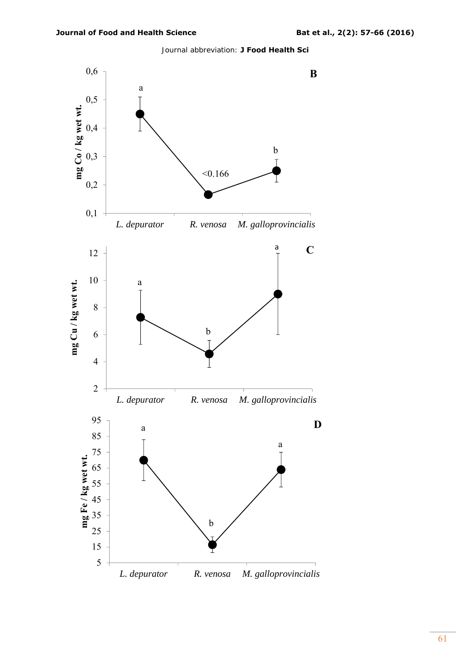

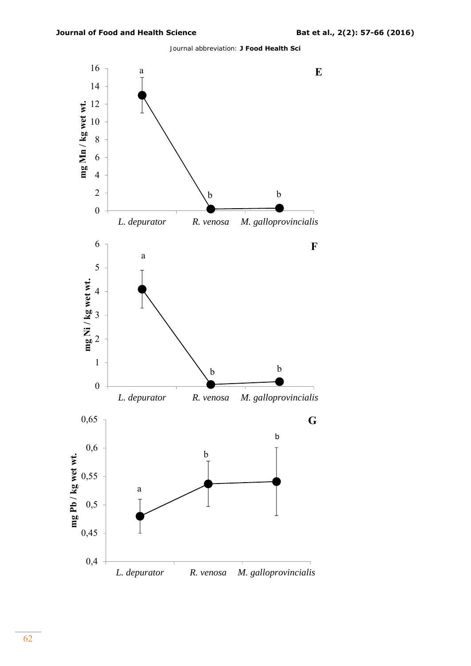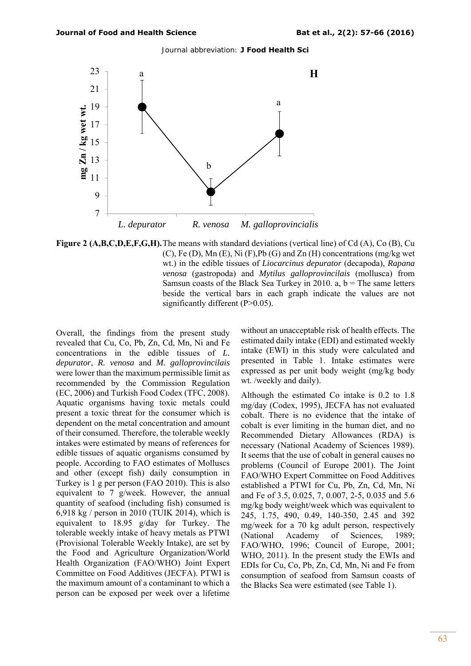

**Figure 2 (A,B,C,D,E,F,G,H).** The means with standard deviations (vertical line) of Cd (A), Co (B), Cu  $(C)$ , Fe  $(D)$ , Mn  $(E)$ , Ni  $(F)$ , Pb  $(G)$  and Zn  $(H)$  concentrations  $(mg/kg$  wet wt.) in the edible tissues of *Liocarcinus depurator* (decapoda), *Rapana venosa* (gastropoda) and *Mytilus galloprovincilais* (mollusca) from Samsun coasts of the Black Sea Turkey in 2010. a,  $b =$ The same letters beside the vertical bars in each graph indicate the values are not significantly different (P>0.05).

Overall, the findings from the present study revealed that Cu, Co, Pb, Zn, Cd, Mn, Ni and Fe concentrations in the edible tissues of *L. depurator*, *R. venosa* and *M. galloprovincilais* were lower than the maximum permissible limit as recommended by the Commission Regulation (EC, 2006) and Turkish Food Codex (TFC, 2008). Aquatic organisms having toxic metals could present a toxic threat for the consumer which is dependent on the metal concentration and amount of their consumed. Therefore, the tolerable weekly intakes were estimated by means of references for edible tissues of aquatic organisms consumed by people. According to FAO estimates of Molluscs and other (except fish) daily consumption in Turkey is 1 g per person (FAO 2010). This is also equivalent to 7 g/week. However, the annual quantity of seafood (including fish) consumed is 6,918 kg / person in 2010 (TUIK 2014), which is equivalent to 18.95 g/day for Turkey. The tolerable weekly intake of heavy metals as PTWI (Provisional Tolerable Weekly Intake), are set by the Food and Agriculture Organization/World Health Organization (FAO/WHO) Joint Expert Committee on Food Additives (JECFA). PTWI is the maximum amount of a contaminant to which a person can be exposed per week over a lifetime

without an unacceptable risk of health effects. The estimated daily intake (EDI) and estimated weekly intake (EWI) in this study were calculated and presented in Table 1. Intake estimates were expressed as per unit body weight (mg/kg body wt. /weekly and daily).

Although the estimated Co intake is 0.2 to 1.8 mg/day (Codex, 1995), JECFA has not evaluated cobalt. There is no evidence that the intake of cobalt is ever limiting in the human diet, and no Recommended Dietary Allowances (RDA) is necessary (National Academy of Sciences 1989). It seems that the use of cobalt in general causes no problems (Council of Europe 2001). The Joint FAO/WHO Expert Committee on Food Additives established a PTWI for Cu, Pb, Zn, Cd, Mn, Ni and Fe of 3.5, 0.025, 7, 0.007, 2-5, 0.035 and 5.6 mg/kg body weight/week which was equivalent to 245, 1.75, 490, 0.49, 140-350, 2.45 and 392 mg/week for a 70 kg adult person, respectively (National Academy of Sciences, 1989; FAO/WHO, 1996; Council of Europe, 2001; WHO, 2011). In the present study the EWIs and EDIs for Cu, Co, Pb, Zn, Cd, Mn, Ni and Fe from consumption of seafood from Samsun coasts of the Blacks Sea were estimated (see Table 1).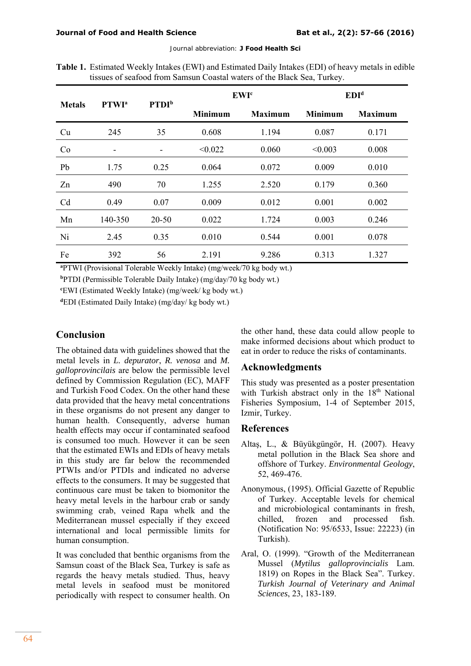**Table 1.** Estimated Weekly Intakes (EWI) and Estimated Daily Intakes (EDI) of heavy metals in edible tissues of seafood from Samsun Coastal waters of the Black Sea, Turkey.

| <b>Metals</b>  | <b>PTWI</b> <sup>a</sup> | PTDI <sup>b</sup> | <b>EWI</b> <sup>c</sup> |                | EDI <sup>d</sup> |                |
|----------------|--------------------------|-------------------|-------------------------|----------------|------------------|----------------|
|                |                          |                   | <b>Minimum</b>          | <b>Maximum</b> | <b>Minimum</b>   | <b>Maximum</b> |
| Cu             | 245                      | 35                | 0.608                   | 1.194          | 0.087            | 0.171          |
| Co             | $\overline{\phantom{a}}$ | ۰                 | < 0.022                 | 0.060          | < 0.003          | 0.008          |
| Pb             | 1.75                     | 0.25              | 0.064                   | 0.072          | 0.009            | 0.010          |
| Zn             | 490                      | 70                | 1.255                   | 2.520          | 0.179            | 0.360          |
| C <sub>d</sub> | 0.49                     | 0.07              | 0.009                   | 0.012          | 0.001            | 0.002          |
| Mn             | 140-350                  | $20 - 50$         | 0.022                   | 1.724          | 0.003            | 0.246          |
| Ni             | 2.45                     | 0.35              | 0.010                   | 0.544          | 0.001            | 0.078          |
| Fe             | 392                      | 56                | 2.191                   | 9.286          | 0.313            | 1.327          |

**a** PTWI (Provisional Tolerable Weekly Intake) (mg/week/70 kg body wt.)

**<sup>b</sup>**PTDI (Permissible Tolerable Daily Intake) (mg/day/70 kg body wt.)

**c** EWI (Estimated Weekly Intake) (mg/week/ kg body wt.)

**<sup>d</sup>**EDI (Estimated Daily Intake) (mg/day/ kg body wt.)

# **Conclusion**

The obtained data with guidelines showed that the metal levels in *L. depurator*, *R. venosa* and *M. galloprovincilais* are below the permissible level defined by Commission Regulation (EC), MAFF and Turkish Food Codex. On the other hand these data provided that the heavy metal concentrations in these organisms do not present any danger to human health. Consequently, adverse human health effects may occur if contaminated seafood is consumed too much. However it can be seen that the estimated EWIs and EDIs of heavy metals in this study are far below the recommended PTWIs and/or PTDIs and indicated no adverse effects to the consumers. It may be suggested that continuous care must be taken to biomonitor the heavy metal levels in the harbour crab or sandy swimming crab, veined Rapa whelk and the Mediterranean mussel especially if they exceed international and local permissible limits for human consumption.

It was concluded that benthic organisms from the Samsun coast of the Black Sea, Turkey is safe as regards the heavy metals studied. Thus, heavy metal levels in seafood must be monitored periodically with respect to consumer health. On

the other hand, these data could allow people to make informed decisions about which product to eat in order to reduce the risks of contaminants.

# **Acknowledgments**

This study was presented as a poster presentation with Turkish abstract only in the  $18<sup>th</sup>$  National Fisheries Symposium, 1-4 of September 2015, Izmir, Turkey.

## **References**

- Altaş, L., & Büyükgüngör, H. (2007). Heavy metal pollution in the Black Sea shore and offshore of Turkey. *Environmental Geology*, 52, 469-476.
- Anonymous, (1995). Official Gazette of Republic of Turkey. Acceptable levels for chemical and microbiological contaminants in fresh, chilled, frozen and processed fish. (Notification No: 95/6533, Issue: 22223) (in Turkish).
- Aral, O. (1999). "Growth of the Mediterranean Mussel (*Mytilus galloprovincialis* Lam. 1819) on Ropes in the Black Sea". Turkey. *Turkish Journal of Veterinary and Animal Sciences*, 23, 183-189.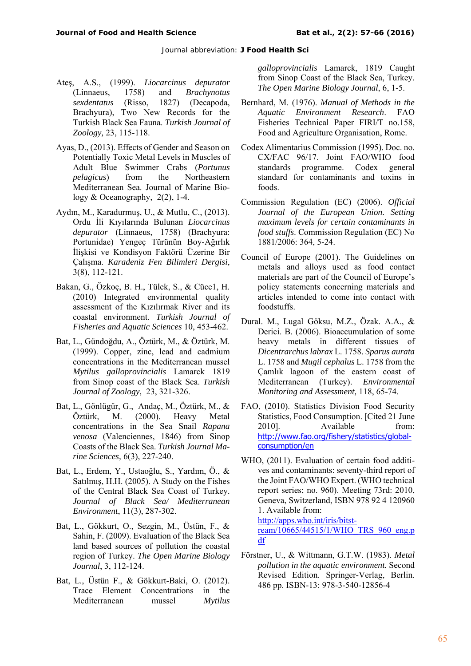- Ateş, A.S., (1999). *Liocarcinus depurator* (Linnaeus, 1758) and *Brachynotus sexdentatus* (Risso, 1827) (Decapoda, Brachyura), Two New Records for the Turkish Black Sea Fauna. *Turkish Journal of Zoology,* 23, 115-118.
- Ayas, D., (2013). Effects of Gender and Season on Potentially Toxic Metal Levels in Muscles of Adult Blue Swimmer Crabs (*Portunus pelagicus*) from the Northeastern Mediterranean Sea. Journal of Marine Biology & Oceanography, 2(2), 1-4.
- Aydın, M., Karadurmuş, U., & Mutlu, C., (2013). Ordu İli Kıyılarında Bulunan *Liocarcinus depurator* (Linnaeus, 1758) (Brachyura: Portunidae) Yengeç Türünün Boy-Ağırlık İlişkisi ve Kondisyon Faktörü Üzerine Bir Çalışma. *Karadeniz Fen Bilimleri Dergisi*, 3(8), 112-121.
- Bakan, G., Özkoç, B. H., Tülek, S., & Cüce1, H. (2010) Integrated environmental quality assessment of the Kızılırmak River and its coastal environment. *Turkish Journal of Fisheries and Aquatic Sciences* 10, 453-462.
- Bat, L., Gündoğdu, A., Öztürk, M., & Öztürk, M. (1999). Copper, zinc, lead and cadmium concentrations in the Mediterranean mussel *Mytilus galloprovincialis* Lamarck 1819 from Sinop coast of the Black Sea. *Turkish Journal of Zoology,* 23, 321-326.
- Bat, L., Gönlügür, G., Andaç, M., Öztürk, M., & Öztürk, M. (2000). Heavy Metal concentrations in the Sea Snail *Rapana venosa* (Valenciennes, 1846) from Sinop Coasts of the Black Sea. *Turkish Journal Marine Sciences,* 6(3), 227-240.
- Bat, L., Erdem, Y., Ustaoğlu, S., Yardım, Ö., & Satılmış, H.H. (2005). A Study on the Fishes of the Central Black Sea Coast of Turkey. *Journal of Black Sea/ Mediterranean Environment*, 11(3), 287-302.
- Bat, L., Gökkurt, O., Sezgin, M., Üstün, F., & Sahin, F. (2009). Evaluation of the Black Sea land based sources of pollution the coastal region of Turkey. *The Open Marine Biology Journal*, 3, 112-124.
- Bat, L., Üstün F., & Gökkurt-Baki, O. (2012). Trace Element Concentrations in the Mediterranean mussel *Mytilus*

*galloprovincialis* Lamarck, 1819 Caught from Sinop Coast of the Black Sea, Turkey. *The Open Marine Biology Journal*, 6, 1-5.

- Bernhard, M. (1976). *Manual of Methods in the Aquatic Environment Research*. FAO Fisheries Technical Paper FIRI/T no.158, Food and Agriculture Organisation, Rome.
- Codex Alimentarius Commission (1995). Doc. no. CX/FAC 96/17. Joint FAO/WHO food standards programme. Codex general standard for contaminants and toxins in foods.
- Commission Regulation (EC) (2006). *Official Journal of the European Union. Setting maximum levels for certain contaminants in food stuffs*. Commission Regulation (EC) No 1881/2006: 364, 5-24.
- Council of Europe (2001). The Guidelines on metals and alloys used as food contact materials are part of the Council of Europe's policy statements concerning materials and articles intended to come into contact with foodstuffs.
- Dural. M., Lugal Göksu, M.Z., Özak. A.A., & Derici. B. (2006). Bioaccumulation of some heavy metals in different tissues of *Dicentrarchus labrax* L. 1758. *Sparus aurata*  L. 1758 and *Mugil cephalus* L. 1758 from the Çamlık lagoon of the eastern coast of Mediterranean (Turkey). *Environmental Monitoring and Assessment,* 118, 65-74.
- FAO, (2010). Statistics Division Food Security Statistics, Food Consumption. [Cited 21 June 2010]. Available from: http://www.fao.org/fishery/statistics/globalconsumption/en
- WHO, (2011). Evaluation of certain food additives and contaminants: seventy-third report of the Joint FAO/WHO Expert. (WHO technical report series; no. 960). Meeting 73rd: 2010, Geneva, Switzerland, ISBN 978 92 4 120960 1. Available from: http://apps.who.int/iris/bitst-

ream/10665/44515/1/WHO\_TRS\_960\_eng.p df

Förstner, U., & Wittmann, G.T.W. (1983). *Metal pollution in the aquatic environment.* Second Revised Edition. Springer-Verlag, Berlin. 486 pp. ISBN-13: 978-3-540-12856-4